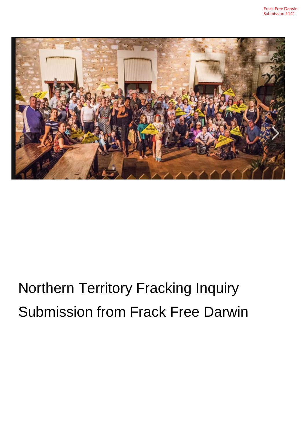

# Northern Territory Fracking Inquiry Submission from Frack Free Darwin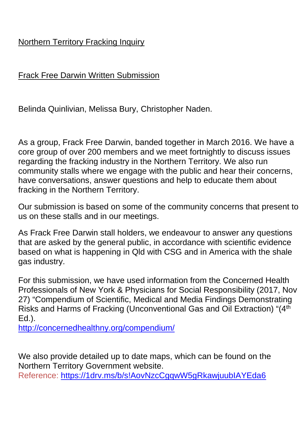# Northern Territory Fracking Inquiry

Frack Free Darwin Written Submission

Belinda Quinlivian, Melissa Bury, Christopher Naden.

As a group, Frack Free Darwin, banded together in March 2016. We have a core group of over 200 members and we meet fortnightly to discuss issues regarding the fracking industry in the Northern Territory. We also run community stalls where we engage with the public and hear their concerns, have conversations, answer questions and help to educate them about fracking in the Northern Territory.

Our submission is based on some of the community concerns that present to us on these stalls and in our meetings.

As Frack Free Darwin stall holders, we endeavour to answer any questions that are asked by the general public, in accordance with scientific evidence based on what is happening in Qld with CSG and in America with the shale gas industry.

For this submission, we have used information from the Concerned Health Professionals of New York & Physicians for Social Responsibility (2017, Nov 27) "Compendium of Scientific, Medical and Media Findings Demonstrating Risks and Harms of Fracking (Unconventional Gas and Oil Extraction) "(4th Ed.).

<http://concernedhealthny.org/compendium/>

We also provide detailed up to date maps, which can be found on the Northern Territory Government website.

Reference: <https://1drv.ms/b/s!AovNzcCgqwW5gRkawjuubIAYEda6>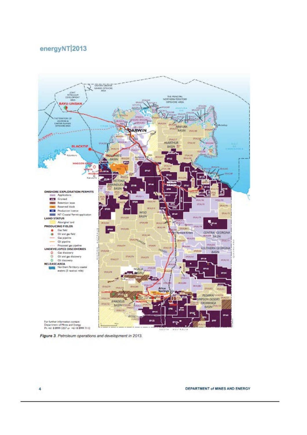#### energyNT 2013





 $\overline{4}$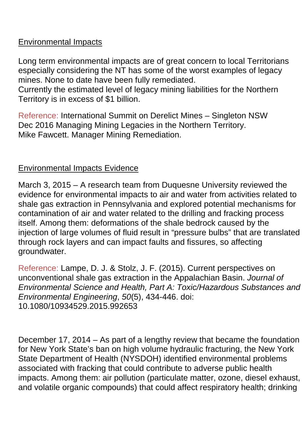## Environmental Impacts

Long term environmental impacts are of great concern to local Territorians especially considering the NT has some of the worst examples of legacy mines. None to date have been fully remediated.

Currently the estimated level of legacy mining liabilities for the Northern Territory is in excess of \$1 billion.

Reference: International Summit on Derelict Mines – Singleton NSW Dec 2016 Managing Mining Legacies in the Northern Territory. Mike Fawcett. Manager Mining Remediation.

# Environmental Impacts Evidence

March 3, 2015 – A research team from Duquesne University reviewed the evidence for environmental impacts to air and water from activities related to shale gas extraction in Pennsylvania and explored potential mechanisms for contamination of air and water related to the drilling and fracking process itself. Among them: deformations of the shale bedrock caused by the injection of large volumes of fluid result in "pressure bulbs" that are translated through rock layers and can impact faults and fissures, so affecting groundwater.

Reference: Lampe, D. J. & Stolz, J. F. (2015). Current perspectives on unconventional shale gas extraction in the Appalachian Basin. *Journal of Environmental Science and Health, Part A: Toxic/Hazardous Substances and Environmental Engineering*, *50*(5), 434-446. doi: 10.1080/10934529.2015.992653

December 17, 2014 – As part of a lengthy review that became the foundation for New York State's ban on high volume hydraulic fracturing, the New York State Department of Health (NYSDOH) identified environmental problems associated with fracking that could contribute to adverse public health impacts. Among them: air pollution (particulate matter, ozone, diesel exhaust, and volatile organic compounds) that could affect respiratory health; drinking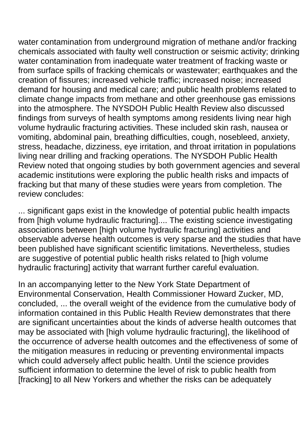water contamination from underground migration of methane and/or fracking chemicals associated with faulty well construction or seismic activity; drinking water contamination from inadequate water treatment of fracking waste or from surface spills of fracking chemicals or wastewater; earthquakes and the creation of fissures; increased vehicle traffic; increased noise; increased demand for housing and medical care; and public health problems related to climate change impacts from methane and other greenhouse gas emissions into the atmosphere. The NYSDOH Public Health Review also discussed findings from surveys of health symptoms among residents living near high volume hydraulic fracturing activities. These included skin rash, nausea or vomiting, abdominal pain, breathing difficulties, cough, nosebleed, anxiety, stress, headache, dizziness, eye irritation, and throat irritation in populations living near drilling and fracking operations. The NYSDOH Public Health Review noted that ongoing studies by both government agencies and several academic institutions were exploring the public health risks and impacts of fracking but that many of these studies were years from completion. The review concludes:

... significant gaps exist in the knowledge of potential public health impacts from [high volume hydraulic fracturing].... The existing science investigating associations between [high volume hydraulic fracturing] activities and observable adverse health outcomes is very sparse and the studies that have been published have significant scientific limitations. Nevertheless, studies are suggestive of potential public health risks related to [high volume hydraulic fracturing] activity that warrant further careful evaluation.

In an accompanying letter to the New York State Department of Environmental Conservation, Health Commissioner Howard Zucker, MD, concluded, ... the overall weight of the evidence from the cumulative body of information contained in this Public Health Review demonstrates that there are significant uncertainties about the kinds of adverse health outcomes that may be associated with [high volume hydraulic fracturing], the likelihood of the occurrence of adverse health outcomes and the effectiveness of some of the mitigation measures in reducing or preventing environmental impacts which could adversely affect public health. Until the science provides sufficient information to determine the level of risk to public health from [fracking] to all New Yorkers and whether the risks can be adequately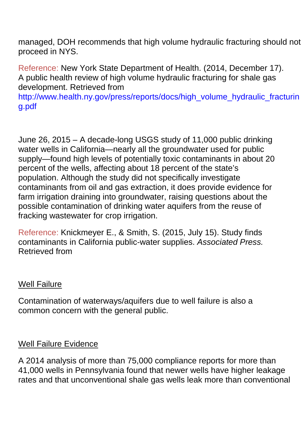managed, DOH recommends that high volume hydraulic fracturing should not proceed in NYS.

Reference: New York State Department of Health. (2014, December 17). A public health review of high volume hydraulic fracturing for shale gas development. Retrieved from

http://www.health.ny.gov/press/reports/docs/high\_volume\_hydraulic\_fracturin g.pdf

June 26, 2015 – A decade-long USGS study of 11,000 public drinking water wells in California—nearly all the groundwater used for public supply—found high levels of potentially toxic contaminants in about 20 percent of the wells, affecting about 18 percent of the state's population. Although the study did not specifically investigate contaminants from oil and gas extraction, it does provide evidence for farm irrigation draining into groundwater, raising questions about the possible contamination of drinking water aquifers from the reuse of fracking wastewater for crop irrigation.

Reference: Knickmeyer E., & Smith, S. (2015, July 15). Study finds contaminants in California public-water supplies. *Associated Press.*  Retrieved from

#### Well Failure

Contamination of waterways/aquifers due to well failure is also a common concern with the general public.

#### Well Failure Evidence

A 2014 analysis of more than 75,000 compliance reports for more than 41,000 wells in Pennsylvania found that newer wells have higher leakage rates and that unconventional shale gas wells leak more than conventional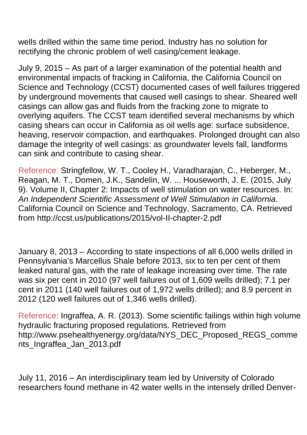wells drilled within the same time period. Industry has no solution for rectifying the chronic problem of well casing/cement leakage.

July 9, 2015 – As part of a larger examination of the potential health and environmental impacts of fracking in California, the California Council on Science and Technology (CCST) documented cases of well failures triggered by underground movements that caused well casings to shear. Sheared well casings can allow gas and fluids from the fracking zone to migrate to overlying aquifers. The CCST team identified several mechanisms by which casing shears can occur in California as oil wells age: surface subsidence, heaving, reservoir compaction, and earthquakes. Prolonged drought can also damage the integrity of well casings: as groundwater levels fall, landforms can sink and contribute to casing shear.

Reference: Stringfellow, W. T., Cooley H., Varadharajan, C., Heberger, M., Reagan, M. T., Domen, J.K., Sandelin, W. ... Houseworth, J. E. (2015, July 9). Volume II, Chapter 2: Impacts of well stimulation on water resources. In: *An Independent Scientific Assessment of Well Stimulation in California.*  California Council on Science and Technology, Sacramento, CA. Retrieved from http://ccst.us/publications/2015/vol-II-chapter-2.pdf

January 8, 2013 – According to state inspections of all 6,000 wells drilled in Pennsylvania's Marcellus Shale before 2013, six to ten per cent of them leaked natural gas, with the rate of leakage increasing over time. The rate was six per cent in 2010 (97 well failures out of 1,609 wells drilled); 7.1 per cent in 2011 (140 well failures out of 1,972 wells drilled); and 8.9 percent in 2012 (120 well failures out of 1,346 wells drilled).

Reference: Ingraffea, A. R. (2013). Some scientific failings within high volume hydraulic fracturing proposed regulations. Retrieved from http://www.psehealthyenergy.org/data/NYS\_DEC\_Proposed\_REGS\_comme nts\_Ingraffea\_Jan\_2013.pdf

July 11, 2016 – An interdisciplinary team led by University of Colorado researchers found methane in 42 water wells in the intensely drilled Denver-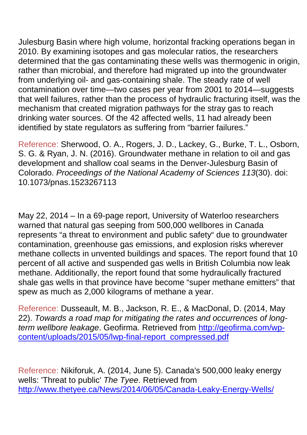Julesburg Basin where high volume, horizontal fracking operations began in 2010. By examining isotopes and gas molecular ratios, the researchers determined that the gas contaminating these wells was thermogenic in origin, rather than microbial, and therefore had migrated up into the groundwater from underlying oil- and gas-containing shale. The steady rate of well contamination over time—two cases per year from 2001 to 2014—suggests that well failures, rather than the process of hydraulic fracturing itself, was the mechanism that created migration pathways for the stray gas to reach drinking water sources. Of the 42 affected wells, 11 had already been identified by state regulators as suffering from "barrier failures."

Reference: Sherwood, O. A., Rogers, J. D., Lackey, G., Burke, T. L., Osborn, S. G. & Ryan, J. N. (2016). Groundwater methane in relation to oil and gas development and shallow coal seams in the Denver-Julesburg Basin of Colorado. *Proceedings of the National Academy of Sciences 113*(30). doi: 10.1073/pnas.1523267113

May 22, 2014 – In a 69-page report, University of Waterloo researchers warned that natural gas seeping from 500,000 wellbores in Canada represents "a threat to environment and public safety" due to groundwater contamination, greenhouse gas emissions, and explosion risks wherever methane collects in unvented buildings and spaces. The report found that 10 percent of all active and suspended gas wells in British Columbia now leak methane. Additionally, the report found that some hydraulically fractured shale gas wells in that province have become "super methane emitters" that spew as much as 2,000 kilograms of methane a year.

Reference: Dusseault, M. B., Jackson, R. E., & MacDonal, D. (2014, May 22). *Towards a road map for mitigating the rates and occurrences of longterm wellbore leakage*. Geofirma. Retrieved from [http://geofirma.com/wp](http://geofirma.com/wp-%20content/uploads/2015/05/lwp-final-report_compressed.pdf)[content/uploads/2015/05/lwp-final-report\\_compressed.pdf](http://geofirma.com/wp-%20content/uploads/2015/05/lwp-final-report_compressed.pdf)

Reference: Nikiforuk, A. (2014, June 5). Canada's 500,000 leaky energy wells: 'Threat to public' *The Tyee*. Retrieved from <http://www.thetyee.ca/News/2014/06/05/Canada-Leaky-Energy-Wells/>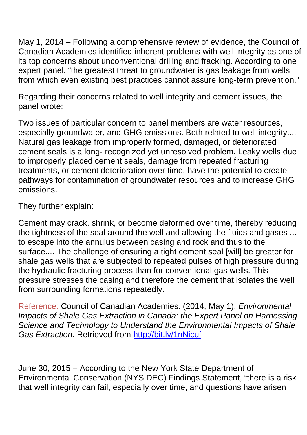May 1, 2014 – Following a comprehensive review of evidence, the Council of Canadian Academies identified inherent problems with well integrity as one of its top concerns about unconventional drilling and fracking. According to one expert panel, "the greatest threat to groundwater is gas leakage from wells from which even existing best practices cannot assure long-term prevention."

Regarding their concerns related to well integrity and cement issues, the panel wrote:

Two issues of particular concern to panel members are water resources, especially groundwater, and GHG emissions. Both related to well integrity.... Natural gas leakage from improperly formed, damaged, or deteriorated cement seals is a long- recognized yet unresolved problem. Leaky wells due to improperly placed cement seals, damage from repeated fracturing treatments, or cement deterioration over time, have the potential to create pathways for contamination of groundwater resources and to increase GHG emissions.

They further explain:

Cement may crack, shrink, or become deformed over time, thereby reducing the tightness of the seal around the well and allowing the fluids and gases ... to escape into the annulus between casing and rock and thus to the surface.... The challenge of ensuring a tight cement seal [will] be greater for shale gas wells that are subjected to repeated pulses of high pressure during the hydraulic fracturing process than for conventional gas wells. This pressure stresses the casing and therefore the cement that isolates the well from surrounding formations repeatedly.

Reference: Council of Canadian Academies. (2014, May 1). *Environmental Impacts of Shale Gas Extraction in Canada: the Expert Panel on Harnessing Science and Technology to Understand the Environmental Impacts of Shale*  Gas Extraction. Retrieved from<http://bit.ly/1nNicuf>

June 30, 2015 – According to the New York State Department of Environmental Conservation (NYS DEC) Findings Statement, "there is a risk that well integrity can fail, especially over time, and questions have arisen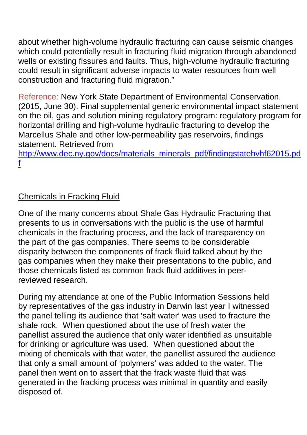about whether high-volume hydraulic fracturing can cause seismic changes which could potentially result in fracturing fluid migration through abandoned wells or existing fissures and faults. Thus, high-volume hydraulic fracturing could result in significant adverse impacts to water resources from well construction and fracturing fluid migration."

Reference: New York State Department of Environmental Conservation. (2015, June 30). Final supplemental generic environmental impact statement on the oil, gas and solution mining regulatory program: regulatory program for horizontal drilling and high-volume hydraulic fracturing to develop the Marcellus Shale and other low-permeability gas reservoirs, findings statement. Retrieved from

[http://www.dec.ny.gov/docs/materials\\_minerals\\_pdf/findingstatehvhf62015.pd](http://www.dec.ny.gov/docs/materials_minerals_pdf/findingstatehvhf62015.pdf) [f](http://www.dec.ny.gov/docs/materials_minerals_pdf/findingstatehvhf62015.pdf)

# Chemicals in Fracking Fluid

One of the many concerns about Shale Gas Hydraulic Fracturing that presents to us in conversations with the public is the use of harmful chemicals in the fracturing process, and the lack of transparency on the part of the gas companies. There seems to be considerable disparity between the components of frack fluid talked about by the gas companies when they make their presentations to the public, and those chemicals listed as common frack fluid additives in peerreviewed research.

During my attendance at one of the Public Information Sessions held by representatives of the gas industry in Darwin last year I witnessed the panel telling its audience that 'salt water' was used to fracture the shale rock. When questioned about the use of fresh water the panellist assured the audience that only water identified as unsuitable for drinking or agriculture was used. When questioned about the mixing of chemicals with that water, the panellist assured the audience that only a small amount of 'polymers' was added to the water. The panel then went on to assert that the frack waste fluid that was generated in the fracking process was minimal in quantity and easily disposed of.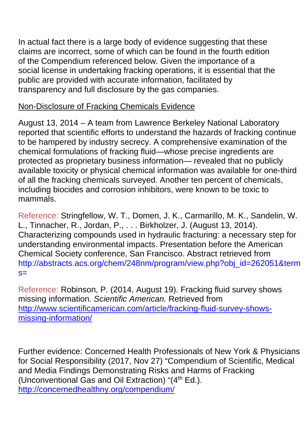In actual fact there is a large body of evidence suggesting that these claims are incorrect, some of which can be found in the fourth edition of the Compendium referenced below. Given the importance of a social license in undertaking fracking operations, it is essential that the public are provided with accurate information, facilitated by transparency and full disclosure by the gas companies.

# Non-Disclosure of Fracking Chemicals Evidence

August 13, 2014 – A team from Lawrence Berkeley National Laboratory reported that scientific efforts to understand the hazards of fracking continue to be hampered by industry secrecy. A comprehensive examination of the chemical formulations of fracking fluid—whose precise ingredients are protected as proprietary business information— revealed that no publicly available toxicity or physical chemical information was available for one-third of all the fracking chemicals surveyed. Another ten percent of chemicals, including biocides and corrosion inhibitors, were known to be toxic to mammals.

Reference: Stringfellow, W. T., Domen, J. K., Carmarillo, M. K., Sandelin, W. L., Tinnacher, R., Jordan, P., . . . Birkholzer, J. (August 13, 2014). Characterizing compounds used in hydraulic fracturing: a necessary step for understanding environmental impacts. Presentation before the American Chemical Society conference, San Francisco. Abstract retrieved from http://abstracts.acs.org/chem/248nm/program/view.php?obj\_id=262051&term  $s=$ 

Reference: Robinson, P. (2014, August 19). Fracking fluid survey shows missing information. *Scientific American.* Retrieved from [http://www.scientificamerican.com/article/fracking-fluid-survey-shows](http://www.scientificamerican.com/article/fracking-fluid-survey-shows-missing-information/)[missing-information/](http://www.scientificamerican.com/article/fracking-fluid-survey-shows-missing-information/)

Further evidence: Concerned Health Professionals of New York & Physicians for Social Responsibility (2017, Nov 27) "Compendium of Scientific, Medical and Media Findings Demonstrating Risks and Harms of Fracking (Unconventional Gas and Oil Extraction) " $(4<sup>th</sup> Ed.)$ . <http://concernedhealthny.org/compendium/>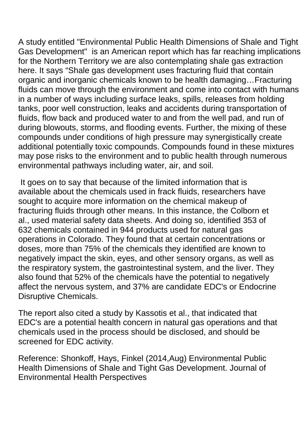A study entitled "Environmental Public Health Dimensions of Shale and Tight Gas Development" is an American report which has far reaching implications for the Northern Territory we are also contemplating shale gas extraction here. It says "Shale gas development uses fracturing fluid that contain organic and inorganic chemicals known to be health damaging…Fracturing fluids can move through the environment and come into contact with humans in a number of ways including surface leaks, spills, releases from holding tanks, poor well construction, leaks and accidents during transportation of fluids, flow back and produced water to and from the well pad, and run of during blowouts, storms, and flooding events. Further, the mixing of these compounds under conditions of high pressure may synergistically create additional potentially toxic compounds. Compounds found in these mixtures may pose risks to the environment and to public health through numerous environmental pathways including water, air, and soil.

It goes on to say that because of the limited information that is available about the chemicals used in frack fluids, researchers have sought to acquire more information on the chemical makeup of fracturing fluids through other means. In this instance, the Colborn et al., used material safety data sheets. And doing so, identified 353 of 632 chemicals contained in 944 products used for natural gas operations in Colorado. They found that at certain concentrations or doses, more than 75% of the chemicals they identified are known to negatively impact the skin, eyes, and other sensory organs, as well as the respiratory system, the gastrointestinal system, and the liver. They also found that 52% of the chemicals have the potential to negatively affect the nervous system, and 37% are candidate EDC's or Endocrine Disruptive Chemicals.

The report also cited a study by Kassotis et al., that indicated that EDC's are a potential health concern in natural gas operations and that chemicals used in the process should be disclosed, and should be screened for EDC activity.

Reference: Shonkoff, Hays, Finkel (2014,Aug) Environmental Public Health Dimensions of Shale and Tight Gas Development. Journal of Environmental Health Perspectives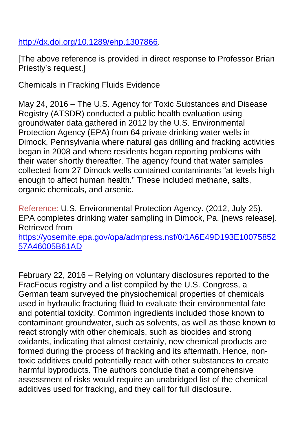# [http://dx.doi.org/10.1289/ehp.1307866.](http://dx.doi.org/10.1289/ehp.1307866)

[The above reference is provided in direct response to Professor Brian Priestly's request.]

## Chemicals in Fracking Fluids Evidence

May 24, 2016 – The U.S. Agency for Toxic Substances and Disease Registry (ATSDR) conducted a public health evaluation using groundwater data gathered in 2012 by the U.S. Environmental Protection Agency (EPA) from 64 private drinking water wells in Dimock, Pennsylvania where natural gas drilling and fracking activities began in 2008 and where residents began reporting problems with their water shortly thereafter. The agency found that water samples collected from 27 Dimock wells contained contaminants "at levels high enough to affect human health." These included methane, salts, organic chemicals, and arsenic.

Reference: U.S. Environmental Protection Agency. (2012, July 25). EPA completes drinking water sampling in Dimock, Pa. [news release]. Retrieved from [https://yosemite.epa.gov/opa/admpress.nsf/0/1A6E49D193E10075852](https://yosemite.epa.gov/opa/admpress.nsf/0/1A6E49D193E1007585257A46005B61AD) [57A46005B61AD](https://yosemite.epa.gov/opa/admpress.nsf/0/1A6E49D193E1007585257A46005B61AD)

February 22, 2016 – Relying on voluntary disclosures reported to the FracFocus registry and a list compiled by the U.S. Congress, a German team surveyed the physiochemical properties of chemicals used in hydraulic fracturing fluid to evaluate their environmental fate and potential toxicity. Common ingredients included those known to contaminant groundwater, such as solvents, as well as those known to react strongly with other chemicals, such as biocides and strong oxidants, indicating that almost certainly, new chemical products are formed during the process of fracking and its aftermath. Hence, nontoxic additives could potentially react with other substances to create harmful byproducts. The authors conclude that a comprehensive assessment of risks would require an unabridged list of the chemical additives used for fracking, and they call for full disclosure.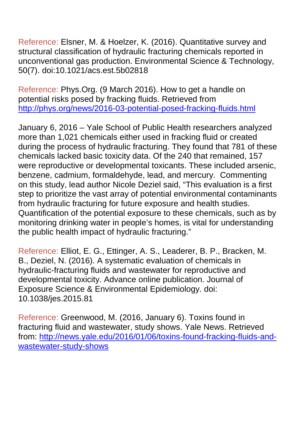Reference: Elsner, M. & Hoelzer, K. (2016). Quantitative survey and structural classification of hydraulic fracturing chemicals reported in unconventional gas production. Environmental Science & Technology, 50(7). doi:10.1021/acs.est.5b02818

Reference: Phys.Org. (9 March 2016). How to get a handle on potential risks posed by fracking fluids. Retrieved from <http://phys.org/news/2016-03-potential-posed-fracking-fluids.html>

January 6, 2016 – Yale School of Public Health researchers analyzed more than 1,021 chemicals either used in fracking fluid or created during the process of hydraulic fracturing. They found that 781 of these chemicals lacked basic toxicity data. Of the 240 that remained, 157 were reproductive or developmental toxicants. These included arsenic, benzene, cadmium, formaldehyde, lead, and mercury. Commenting on this study, lead author Nicole Deziel said, "This evaluation is a first step to prioritize the vast array of potential environmental contaminants from hydraulic fracturing for future exposure and health studies. Quantification of the potential exposure to these chemicals, such as by monitoring drinking water in people's homes, is vital for understanding the public health impact of hydraulic fracturing."

Reference: Elliot, E. G., Ettinger, A. S., Leaderer, B. P., Bracken, M. B., Deziel, N. (2016). A systematic evaluation of chemicals in hydraulic-fracturing fluids and wastewater for reproductive and developmental toxicity. Advance online publication. Journal of Exposure Science & Environmental Epidemiology. doi: 10.1038/jes.2015.81

Reference: Greenwood, M. (2016, January 6). Toxins found in fracturing fluid and wastewater, study shows. Yale News. Retrieved from: [http://news.yale.edu/2016/01/06/toxins-found-fracking-fluids-and](http://news.yale.edu/2016/01/06/toxins-found-fracking-fluids-and-wastewater-study-shows)[wastewater-study-shows](http://news.yale.edu/2016/01/06/toxins-found-fracking-fluids-and-wastewater-study-shows)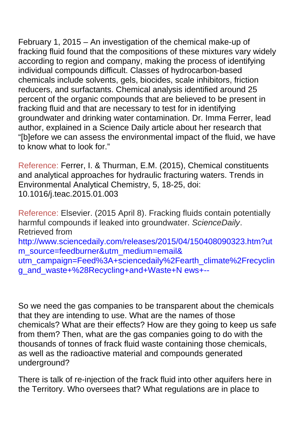February 1, 2015 – An investigation of the chemical make-up of fracking fluid found that the compositions of these mixtures vary widely according to region and company, making the process of identifying individual compounds difficult. Classes of hydrocarbon-based chemicals include solvents, gels, biocides, scale inhibitors, friction reducers, and surfactants. Chemical analysis identified around 25 percent of the organic compounds that are believed to be present in fracking fluid and that are necessary to test for in identifying groundwater and drinking water contamination. Dr. Imma Ferrer, lead author, explained in a Science Daily article about her research that "[b]efore we can assess the environmental impact of the fluid, we have to know what to look for."

Reference: Ferrer, I. & Thurman, E.M. (2015), Chemical constituents and analytical approaches for hydraulic fracturing waters. Trends in Environmental Analytical Chemistry, 5, 18-25, doi: 10.1016/j.teac.2015.01.003

Reference: Elsevier. (2015 April 8). Fracking fluids contain potentially harmful compounds if leaked into groundwater. *ScienceDaily*. Retrieved from http://www.sciencedaily.com/releases/2015/04/150408090323.htm?ut m\_source=feedburner&utm\_medium=email& utm\_campaign=Feed%3A+sciencedaily%2Fearth\_climate%2Frecyclin g\_and\_waste+%28Recycling+and+Waste+N ews+--

So we need the gas companies to be transparent about the chemicals that they are intending to use. What are the names of those chemicals? What are their effects? How are they going to keep us safe from them? Then, what are the gas companies going to do with the thousands of tonnes of frack fluid waste containing those chemicals, as well as the radioactive material and compounds generated underground?

There is talk of re-injection of the frack fluid into other aquifers here in the Territory. Who oversees that? What regulations are in place to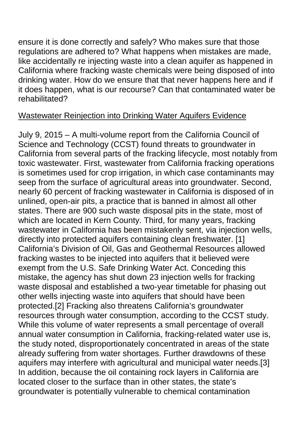ensure it is done correctly and safely? Who makes sure that those regulations are adhered to? What happens when mistakes are made, like accidentally re injecting waste into a clean aquifer as happened in California where fracking waste chemicals were being disposed of into drinking water. How do we ensure that that never happens here and if it does happen, what is our recourse? Can that contaminated water be rehabilitated?

## Wastewater Reinjection into Drinking Water Aquifers Evidence

July 9, 2015 – A multi-volume report from the California Council of Science and Technology (CCST) found threats to groundwater in California from several parts of the fracking lifecycle, most notably from toxic wastewater. First, wastewater from California fracking operations is sometimes used for crop irrigation, in which case contaminants may seep from the surface of agricultural areas into groundwater. Second, nearly 60 percent of fracking wastewater in California is disposed of in unlined, open-air pits, a practice that is banned in almost all other states. There are 900 such waste disposal pits in the state, most of which are located in Kern County. Third, for many years, fracking wastewater in California has been mistakenly sent, via injection wells, directly into protected aquifers containing clean freshwater. [1] California's Division of Oil, Gas and Geothermal Resources allowed fracking wastes to be injected into aquifers that it believed were exempt from the U.S. Safe Drinking Water Act. Conceding this mistake, the agency has shut down 23 injection wells for fracking waste disposal and established a two-year timetable for phasing out other wells injecting waste into aquifers that should have been protected.[2] Fracking also threatens California's groundwater resources through water consumption, according to the CCST study. While this volume of water represents a small percentage of overall annual water consumption in California, fracking-related water use is, the study noted, disproportionately concentrated in areas of the state already suffering from water shortages. Further drawdowns of these aquifers may interfere with agricultural and municipal water needs.[3] In addition, because the oil containing rock layers in California are located closer to the surface than in other states, the state's groundwater is potentially vulnerable to chemical contamination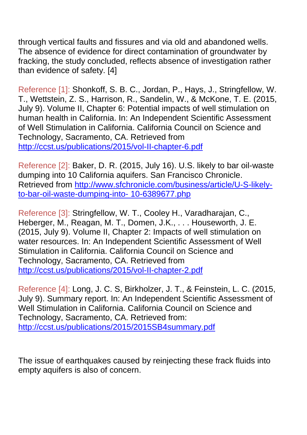through vertical faults and fissures and via old and abandoned wells. The absence of evidence for direct contamination of groundwater by fracking, the study concluded, reflects absence of investigation rather than evidence of safety. [4]

Reference [1]: Shonkoff, S. B. C., Jordan, P., Hays, J., Stringfellow, W. T., Wettstein, Z. S., Harrison, R., Sandelin, W., & McKone, T. E. (2015, July 9). Volume II, Chapter 6: Potential impacts of well stimulation on human health in California. In: An Independent Scientific Assessment of Well Stimulation in California. California Council on Science and Technology, Sacramento, CA. Retrieved from <http://ccst.us/publications/2015/vol-II-chapter-6.pdf>

Reference [2]: Baker, D. R. (2015, July 16). U.S. likely to bar oil-waste dumping into 10 California aquifers. San Francisco Chronicle. Retrieved from [http://www.sfchronicle.com/business/article/U-S-likely](http://www.sfchronicle.com/business/article/U-S-likely-to-bar-oil-waste-dumping-into-%2010-6389677.php)[to-bar-oil-waste-dumping-into-](http://www.sfchronicle.com/business/article/U-S-likely-to-bar-oil-waste-dumping-into-%2010-6389677.php) 10-6389677.php

Reference [3]: Stringfellow, W. T., Cooley H., Varadharajan, C., Heberger, M., Reagan, M. T., Domen, J.K., . . . Houseworth, J. E. (2015, July 9). Volume II, Chapter 2: Impacts of well stimulation on water resources. In: An Independent Scientific Assessment of Well Stimulation in California. California Council on Science and Technology, Sacramento, CA. Retrieved from <http://ccst.us/publications/2015/vol-II-chapter-2.pdf>

Reference [4]: Long, J. C. S, Birkholzer, J. T., & Feinstein, L. C. (2015, July 9). Summary report. In: An Independent Scientific Assessment of Well Stimulation in California. California Council on Science and Technology, Sacramento, CA. Retrieved from: <http://ccst.us/publications/2015/2015SB4summary.pdf>

The issue of earthquakes caused by reinjecting these frack fluids into empty aquifers is also of concern.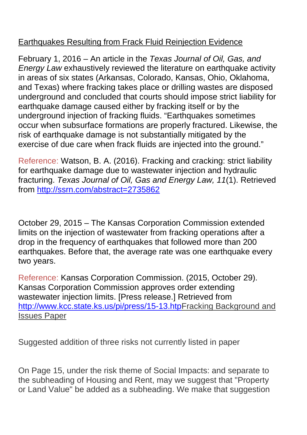# Earthquakes Resulting from Frack Fluid Reinjection Evidence

February 1, 2016 – An article in the *Texas Journal of Oil, Gas, and Energy Law* exhaustively reviewed the literature on earthquake activity in areas of six states (Arkansas, Colorado, Kansas, Ohio, Oklahoma, and Texas) where fracking takes place or drilling wastes are disposed underground and concluded that courts should impose strict liability for earthquake damage caused either by fracking itself or by the underground injection of fracking fluids. "Earthquakes sometimes occur when subsurface formations are properly fractured. Likewise, the risk of earthquake damage is not substantially mitigated by the exercise of due care when frack fluids are injected into the ground."

Reference: Watson, B. A. (2016). Fracking and cracking: strict liability for earthquake damage due to wastewater injection and hydraulic fracturing. *Texas Journal of Oil, Gas and Energy Law, 11*(1). Retrieved from<http://ssrn.com/abstract=2735862>

October 29, 2015 – The Kansas Corporation Commission extended limits on the injection of wastewater from fracking operations after a drop in the frequency of earthquakes that followed more than 200 earthquakes. Before that, the average rate was one earthquake every two years.

Reference: Kansas Corporation Commission. (2015, October 29). Kansas Corporation Commission approves order extending wastewater injection limits. [Press release.] Retrieved from [http://www.kcc.state.ks.us/pi/press/15-13.htpF](http://www.kcc.state.ks.us/pi/press/15-13.htp)racking Background and Issues Paper

Suggested addition of three risks not currently listed in paper

On Page 15, under the risk theme of Social Impacts: and separate to the subheading of Housing and Rent, may we suggest that "Property or Land Value" be added as a subheading. We make that suggestion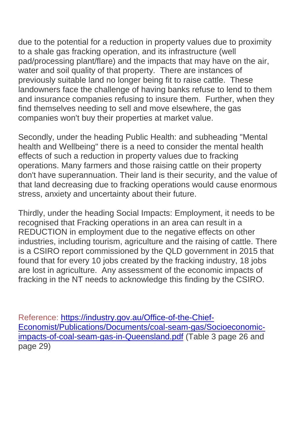due to the potential for a reduction in property values due to proximity to a shale gas fracking operation, and its infrastructure (well pad/processing plant/flare) and the impacts that may have on the air, water and soil quality of that property. There are instances of previously suitable land no longer being fit to raise cattle. These landowners face the challenge of having banks refuse to lend to them and insurance companies refusing to insure them. Further, when they find themselves needing to sell and move elsewhere, the gas companies won't buy their properties at market value.

Secondly, under the heading Public Health: and subheading "Mental health and Wellbeing" there is a need to consider the mental health effects of such a reduction in property values due to fracking operations. Many farmers and those raising cattle on their property don't have superannuation. Their land is their security, and the value of that land decreasing due to fracking operations would cause enormous stress, anxiety and uncertainty about their future.

Thirdly, under the heading Social Impacts: Employment, it needs to be recognised that Fracking operations in an area can result in a REDUCTION in employment due to the negative effects on other industries, including tourism, agriculture and the raising of cattle. There is a CSIRO report commissioned by the QLD government in 2015 that found that for every 10 jobs created by the fracking industry, 18 jobs are lost in agriculture. Any assessment of the economic impacts of fracking in the NT needs to acknowledge this finding by the CSIRO.

Reference: [https://industry.gov.au/Office-of-the-Chief-](https://industry.gov.au/Office-of-the-Chief-Economist/Publications/Documents/coal-seam-gas/Socioeconomic-impacts-of-coal-seam-gas-in-Queensland.pdf)[Economist/Publications/Documents/coal-seam-gas/Socioeconomic](https://industry.gov.au/Office-of-the-Chief-Economist/Publications/Documents/coal-seam-gas/Socioeconomic-impacts-of-coal-seam-gas-in-Queensland.pdf)[impacts-of-coal-seam-gas-in-Queensland.pdf](https://industry.gov.au/Office-of-the-Chief-Economist/Publications/Documents/coal-seam-gas/Socioeconomic-impacts-of-coal-seam-gas-in-Queensland.pdf) (Table 3 page 26 and page 29)